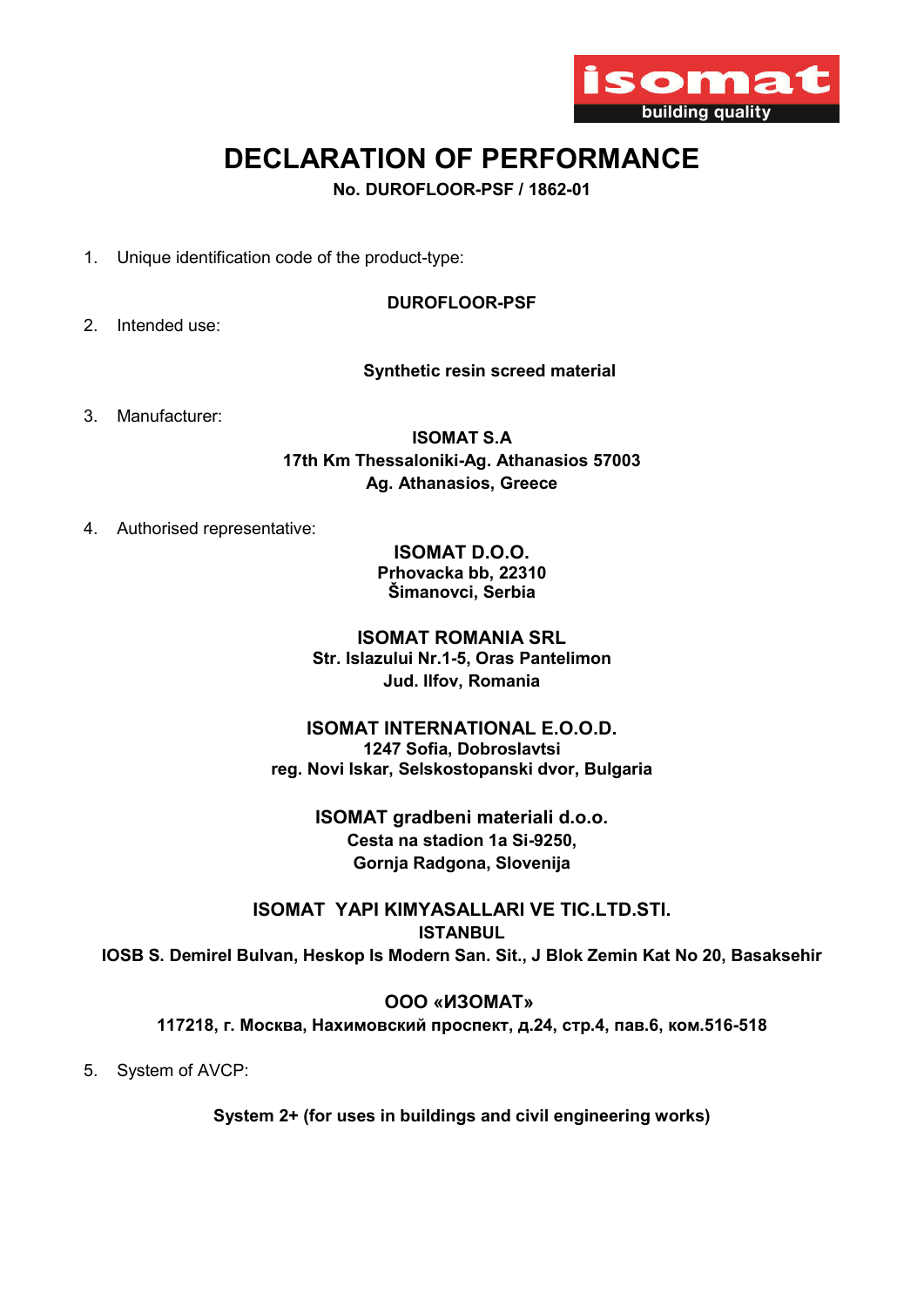

# DECLARATION OF PERFORMANCE

No. DUROFLOOR-PSF / 1862-01

1. Unique identification code of the product-type:

## DUROFLOOR-PSF

2. Intended use:

# Synthetic resin screed material

3. Manufacturer:

ISOMAT S.A 17th Km Thessaloniki-Ag. Athanasios 57003 Ag. Athanasios, Greece

4. Authorised representative:

ISOMAT D.O.O. Prhovacka bb, 22310 Šimanovci, Serbia

ISOMAT ROMANIA SRL Str. Islazului Nr.1-5, Oras Pantelimon Jud. Ilfov, Romania

# ISOMAT INTERNATIONAL E.O.O.D. 1247 Sofia, Dobroslavtsi reg. Novi Iskar, Selskostopanski dvor, Bulgaria

ΙSOMAT gradbeni materiali d.o.o. Cesta na stadion 1a Si-9250, Gornja Radgona, Slovenija

ISOMAT YAPI KIMYASALLARI VE TIC.LTD.STI. ISTANBUL IOSB S. Demirel Bulvan, Heskop Is Modern San. Sit., J Blok Zemin Kat No 20, Basaksehir

# ООО «ИЗОМАТ» 117218, г. Москва, Нахимовский проспект, д.24, стр.4, пав.6, ком.516-518

5. System of AVCP:

System 2+ (for uses in buildings and civil engineering works)